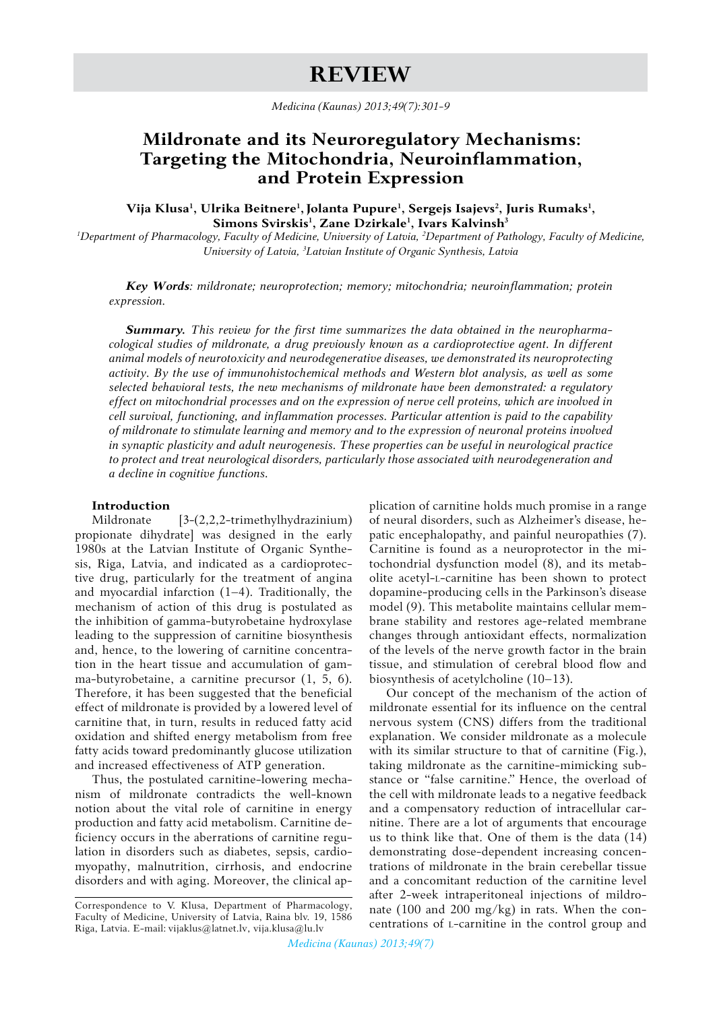# **ReviEw**

*Medicina (Kaunas) 2013;49(7):301-9*

## **Mildronate and its Neuroregulatory Mechanisms: Targeting the Mitochondria, Neuroinflammation, and Protein Expression**

Vija Klusa<sup>1</sup>, Ulrika Beitnere<sup>1</sup>, Jolanta Pupure<sup>1</sup>, Sergejs Isajevs<sup>2</sup>, Juris Rumaks<sup>1</sup>, **Simons Svirskis1 , Zane Dzirkale1 , Ivars Kalvinsh<sup>3</sup>**

<sup>1</sup>Department of Pharmacology, Faculty of Medicine, University of Latvia, <sup>2</sup>Department of Pathology, Faculty of Medicine, *University of Latvia, 3 Latvian Institute of Organic Synthesis, Latvia*

*Key Words: mildronate; neuroprotection; memory; mitochondria; neuroinflammation; protein expression.*

*Summary. This review for the first time summarizes the data obtained in the neuropharmacological studies of mildronate, a drug previously known as a cardioprotective agent. In different animal models of neurotoxicity and neurodegenerative diseases, we demonstrated its neuroprotecting activity. By the use of immunohistochemical methods and Western blot analysis, as well as some selected behavioral tests, the new mechanisms of mildronate have been demonstrated: a regulatory effect on mitochondrial processes and on the expression of nerve cell proteins, which are involved in cell survival, functioning, and inflammation processes. Particular attention is paid to the capability of mildronate to stimulate learning and memory and to the expression of neuronal proteins involved in synaptic plasticity and adult neurogenesis. These properties can be useful in neurological practice to protect and treat neurological disorders, particularly those associated with neurodegeneration and a decline in cognitive functions.*

## **Introduction**

Mildronate [3-(2,2,2-trimethylhydrazinium) propionate dihydrate] was designed in the early 1980s at the Latvian Institute of Organic Synthesis, Riga, Latvia, and indicated as a cardioprotective drug, particularly for the treatment of angina and myocardial infarction (1–4). Traditionally, the mechanism of action of this drug is postulated as the inhibition of gamma-butyrobetaine hydroxylase leading to the suppression of carnitine biosynthesis and, hence, to the lowering of carnitine concentration in the heart tissue and accumulation of gamma-butyrobetaine, a carnitine precursor (1, 5, 6). Therefore, it has been suggested that the beneficial effect of mildronate is provided by a lowered level of carnitine that, in turn, results in reduced fatty acid oxidation and shifted energy metabolism from free fatty acids toward predominantly glucose utilization and increased effectiveness of ATP generation.

Thus, the postulated carnitine-lowering mechanism of mildronate contradicts the well-known notion about the vital role of carnitine in energy production and fatty acid metabolism. Carnitine deficiency occurs in the aberrations of carnitine regulation in disorders such as diabetes, sepsis, cardiomyopathy, malnutrition, cirrhosis, and endocrine disorders and with aging. Moreover, the clinical application of carnitine holds much promise in a range of neural disorders, such as Alzheimer's disease, hepatic encephalopathy, and painful neuropathies (7). Carnitine is found as a neuroprotector in the mitochondrial dysfunction model (8), and its metabolite acetyl-l-carnitine has been shown to protect dopamine-producing cells in the Parkinson's disease model (9). This metabolite maintains cellular membrane stability and restores age-related membrane changes through antioxidant effects, normalization of the levels of the nerve growth factor in the brain tissue, and stimulation of cerebral blood flow and biosynthesis of acetylcholine (10–13).

Our concept of the mechanism of the action of mildronate essential for its influence on the central nervous system (CNS) differs from the traditional explanation. We consider mildronate as a molecule with its similar structure to that of carnitine (Fig.), taking mildronate as the carnitine-mimicking substance or "false carnitine." Hence, the overload of the cell with mildronate leads to a negative feedback and a compensatory reduction of intracellular carnitine. There are a lot of arguments that encourage us to think like that. One of them is the data (14) demonstrating dose-dependent increasing concentrations of mildronate in the brain cerebellar tissue and a concomitant reduction of the carnitine level after 2-week intraperitoneal injections of mildronate (100 and 200 mg/kg) in rats. When the concentrations of l-carnitine in the control group and

Correspondence to V. Klusa, Department of Pharmacology, Faculty of Medicine, University of Latvia, Raina blv. 19, 1586 Riga, Latvia. E-mail: vijaklus@latnet.lv, vija.klusa@lu.lv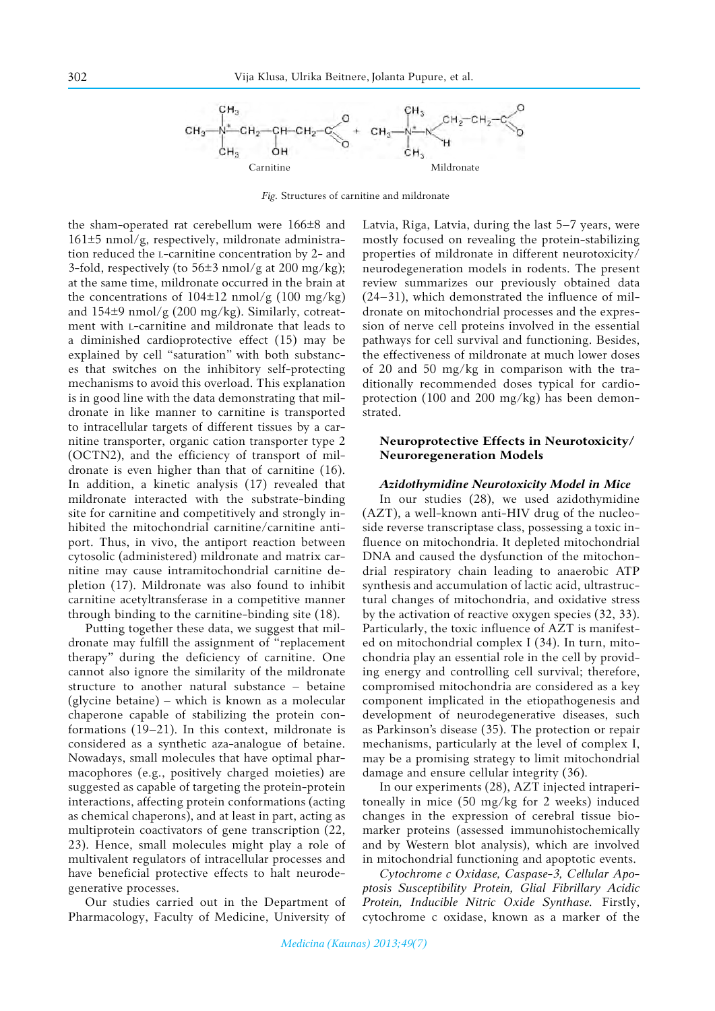

*Fig.* Structures of carnitine and mildronate

the sham-operated rat cerebellum were 166±8 and  $161\pm5$  nmol/g, respectively, mildronate administration reduced the l-carnitine concentration by 2- and 3-fold, respectively (to  $56\pm3$  nmol/g at 200 mg/kg); at the same time, mildronate occurred in the brain at the concentrations of  $104\pm12$  nmol/g (100 mg/kg) and  $154\pm9$  nmol/g (200 mg/kg). Similarly, cotreatment with l-carnitine and mildronate that leads to a diminished cardioprotective effect (15) may be explained by cell "saturation" with both substances that switches on the inhibitory self-protecting mechanisms to avoid this overload. This explanation is in good line with the data demonstrating that mildronate in like manner to carnitine is transported to intracellular targets of different tissues by a carnitine transporter, organic cation transporter type 2 (OCTN2), and the efficiency of transport of mildronate is even higher than that of carnitine (16). In addition, a kinetic analysis (17) revealed that mildronate interacted with the substrate-binding site for carnitine and competitively and strongly inhibited the mitochondrial carnitine/carnitine antiport. Thus, in vivo, the antiport reaction between cytosolic (administered) mildronate and matrix carnitine may cause intramitochondrial carnitine depletion (17). Mildronate was also found to inhibit carnitine acetyltransferase in a competitive manner through binding to the carnitine-binding site (18).

Putting together these data, we suggest that mildronate may fulfill the assignment of "replacement therapy" during the deficiency of carnitine. One cannot also ignore the similarity of the mildronate structure to another natural substance – betaine (glycine betaine) – which is known as a molecular chaperone capable of stabilizing the protein conformations (19–21). In this context, mildronate is considered as a synthetic aza-analogue of betaine. Nowadays, small molecules that have optimal pharmacophores (e.g., positively charged moieties) are suggested as capable of targeting the protein-protein interactions, affecting protein conformations (acting as chemical chaperons), and at least in part, acting as multiprotein coactivators of gene transcription (22, 23). Hence, small molecules might play a role of multivalent regulators of intracellular processes and have beneficial protective effects to halt neurodegenerative processes.

Our studies carried out in the Department of Pharmacology, Faculty of Medicine, University of

Latvia, Riga, Latvia, during the last 5–7 years, were mostly focused on revealing the protein-stabilizing properties of mildronate in different neurotoxicity/ neurodegeneration models in rodents. The present review summarizes our previously obtained data (24–31), which demonstrated the influence of mildronate on mitochondrial processes and the expression of nerve cell proteins involved in the essential pathways for cell survival and functioning. Besides, the effectiveness of mildronate at much lower doses of 20 and 50 mg/kg in comparison with the traditionally recommended doses typical for cardioprotection (100 and 200 mg/kg) has been demonstrated.

### **Neuroprotective Effects in Neurotoxicity/ Neuroregeneration Models**

#### *Azidothymidine Neurotoxicity Model in Mice*

In our studies (28), we used azidothymidine (AZT), a well-known anti-HIV drug of the nucleoside reverse transcriptase class, possessing a toxic influence on mitochondria. It depleted mitochondrial DNA and caused the dysfunction of the mitochondrial respiratory chain leading to anaerobic ATP synthesis and accumulation of lactic acid, ultrastructural changes of mitochondria, and oxidative stress by the activation of reactive oxygen species (32, 33). Particularly, the toxic influence of AZT is manifested on mitochondrial complex I (34). In turn, mitochondria play an essential role in the cell by providing energy and controlling cell survival; therefore, compromised mitochondria are considered as a key component implicated in the etiopathogenesis and development of neurodegenerative diseases, such as Parkinson's disease (35). The protection or repair mechanisms, particularly at the level of complex I, may be a promising strategy to limit mitochondrial damage and ensure cellular integrity (36).

In our experiments (28), AZT injected intraperitoneally in mice (50 mg/kg for 2 weeks) induced changes in the expression of cerebral tissue biomarker proteins (assessed immunohistochemically and by Western blot analysis), which are involved in mitochondrial functioning and apoptotic events.

*Cytochrome c Oxidase, Caspase-3, Cellular Apoptosis Susceptibility Protein, Glial Fibrillary Acidic Protein, Inducible Nitric Oxide Synthase.* Firstly, cytochrome c oxidase, known as a marker of the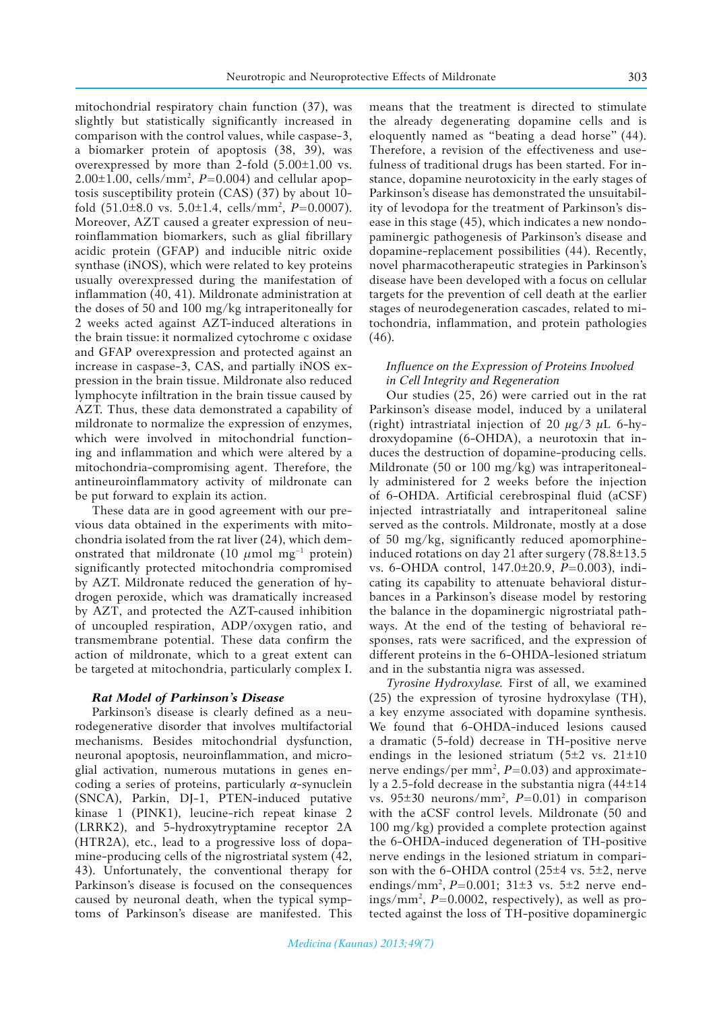mitochondrial respiratory chain function (37), was slightly but statistically significantly increased in comparison with the control values, while caspase-3, a biomarker protein of apoptosis (38, 39), was overexpressed by more than 2-fold (5.00±1.00 vs. 2.00±1.00, cells/mm2 , *P*=0.004) and cellular apoptosis susceptibility protein (CAS) (37) by about 10 fold (51.0±8.0 vs. 5.0±1.4, cells/mm2 , *P*=0.0007). Moreover, AZT caused a greater expression of neuroinflammation biomarkers, such as glial fibrillary acidic protein (GFAP) and inducible nitric oxide synthase (iNOS), which were related to key proteins usually overexpressed during the manifestation of inflammation (40, 41). Mildronate administration at the doses of 50 and 100 mg/kg intraperitoneally for 2 weeks acted against AZT-induced alterations in the brain tissue: it normalized cytochrome c oxidase and GFAP overexpression and protected against an increase in caspase-3, CAS, and partially iNOS expression in the brain tissue. Mildronate also reduced lymphocyte infiltration in the brain tissue caused by AZT. Thus, these data demonstrated a capability of mildronate to normalize the expression of enzymes, which were involved in mitochondrial functioning and inflammation and which were altered by a mitochondria-compromising agent. Therefore, the antineuroinflammatory activity of mildronate can be put forward to explain its action.

These data are in good agreement with our previous data obtained in the experiments with mitochondria isolated from the rat liver (24), which demonstrated that mildronate (10  $\mu$ mol mg<sup>-1</sup> protein) significantly protected mitochondria compromised by AZT. Mildronate reduced the generation of hydrogen peroxide, which was dramatically increased by AZT, and protected the AZT-caused inhibition of uncoupled respiration, ADP/oxygen ratio, and transmembrane potential. These data confirm the action of mildronate, which to a great extent can be targeted at mitochondria, particularly complex I.

## *Rat Model of Parkinson's Disease*

Parkinson's disease is clearly defined as a neurodegenerative disorder that involves multifactorial mechanisms. Besides mitochondrial dysfunction, neuronal apoptosis, neuroinflammation, and microglial activation, numerous mutations in genes encoding a series of proteins, particularly *α*-synuclein (SNCA), Parkin, DJ-1, PTEN-induced putative kinase 1 (PINK1), leucine-rich repeat kinase 2 (LRRK2), and 5-hydroxytryptamine receptor 2A (HTR2A), etc., lead to a progressive loss of dopamine-producing cells of the nigrostriatal system (42, 43). Unfortunately, the conventional therapy for Parkinson's disease is focused on the consequences caused by neuronal death, when the typical symptoms of Parkinson's disease are manifested. This

means that the treatment is directed to stimulate the already degenerating dopamine cells and is eloquently named as "beating a dead horse" (44). Therefore, a revision of the effectiveness and usefulness of traditional drugs has been started. For instance, dopamine neurotoxicity in the early stages of Parkinson's disease has demonstrated the unsuitability of levodopa for the treatment of Parkinson's disease in this stage (45), which indicates a new nondopaminergic pathogenesis of Parkinson's disease and dopamine-replacement possibilities (44). Recently, novel pharmacotherapeutic strategies in Parkinson's disease have been developed with a focus on cellular targets for the prevention of cell death at the earlier stages of neurodegeneration cascades, related to mitochondria, inflammation, and protein pathologies  $(46)$ .

## *Influence on the Expression of Proteins Involved in Cell Integrity and Regeneration*

Our studies (25, 26) were carried out in the rat Parkinson's disease model, induced by a unilateral (right) intrastriatal injection of 20 *µ*g/3 *µ*L 6-hydroxydopamine (6-OHDA), a neurotoxin that induces the destruction of dopamine-producing cells. Mildronate (50 or 100 mg/kg) was intraperitoneally administered for 2 weeks before the injection of 6-OHDA. Artificial cerebrospinal fluid (aCSF) injected intrastriatally and intraperitoneal saline served as the controls. Mildronate, mostly at a dose of 50 mg/kg, significantly reduced apomorphineinduced rotations on day 21 after surgery (78.8±13.5 vs. 6-OHDA control, 147.0±20.9, *P*=0.003), indicating its capability to attenuate behavioral disturbances in a Parkinson's disease model by restoring the balance in the dopaminergic nigrostriatal pathways. At the end of the testing of behavioral responses, rats were sacrificed, and the expression of different proteins in the 6-OHDA-lesioned striatum and in the substantia nigra was assessed.

*Tyrosine Hydroxylase.* First of all, we examined (25) the expression of tyrosine hydroxylase (TH), a key enzyme associated with dopamine synthesis. We found that 6-OHDA-induced lesions caused a dramatic (5-fold) decrease in TH-positive nerve endings in the lesioned striatum ( $5\pm2$  vs.  $21\pm10$ nerve endings/per mm<sup>2</sup>, P=0.03) and approximately a 2.5-fold decrease in the substantia nigra (44±14 vs.  $95\pm30$  neurons/mm<sup>2</sup>,  $P=0.01$ ) in comparison with the aCSF control levels. Mildronate (50 and 100 mg/kg) provided a complete protection against the 6-OHDA-induced degeneration of TH-positive nerve endings in the lesioned striatum in comparison with the 6-OHDA control (25±4 vs. 5±2, nerve endings/mm2 , *P*=0.001; 31±3 vs. 5±2 nerve endings/mm2 , *P*=0.0002, respectively), as well as protected against the loss of TH-positive dopaminergic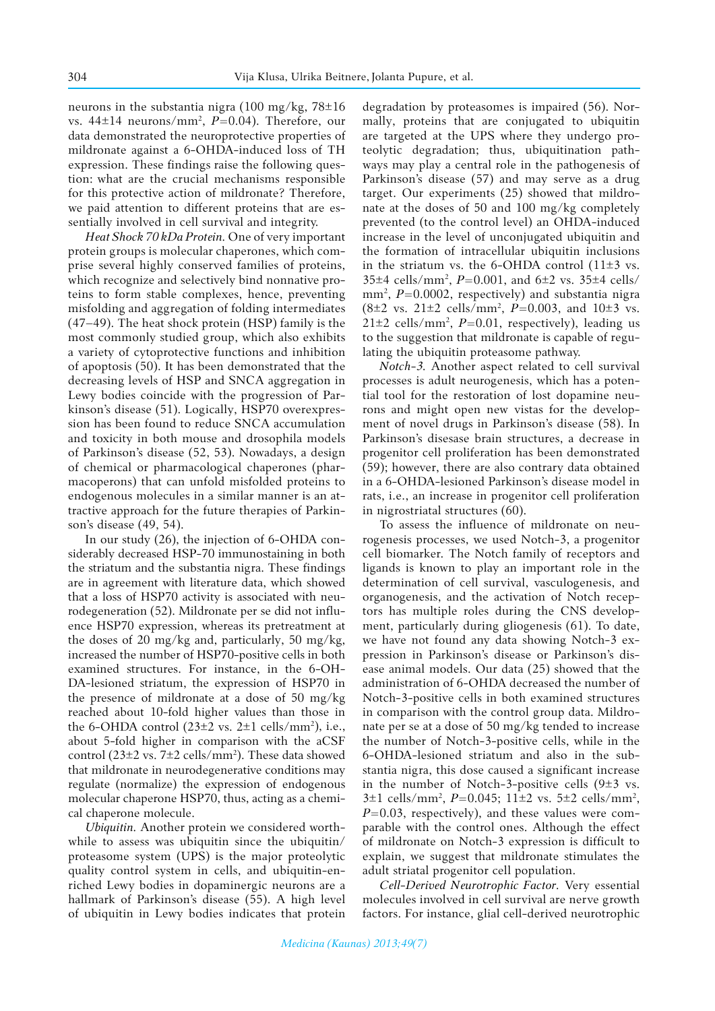neurons in the substantia nigra (100 mg/kg,  $78\pm16$ ) vs. 44±14 neurons/mm2 , *P*=0.04). Therefore, our data demonstrated the neuroprotective properties of mildronate against a 6‑OHDA‑induced loss of TH expression. These findings raise the following question: what are the crucial mechanisms responsible for this protective action of mildronate? Therefore, we paid attention to different proteins that are essentially involved in cell survival and integrity.

*Heat Shock 70 kDa Protein.* One of very important protein groups is molecular chaperones, which comprise several highly conserved families of proteins, which recognize and selectively bind nonnative proteins to form stable complexes, hence, preventing misfolding and aggregation of folding intermediates (47–49). The heat shock protein (HSP) family is the most commonly studied group, which also exhibits a variety of cytoprotective functions and inhibition of apoptosis (50). It has been demonstrated that the decreasing levels of HSP and SNCA aggregation in Lewy bodies coincide with the progression of Parkinson's disease (51). Logically, HSP70 overexpression has been found to reduce SNCA accumulation and toxicity in both mouse and drosophila models of Parkinson's disease (52, 53). Nowadays, a design of chemical or pharmacological chaperones (pharmacoperons) that can unfold misfolded proteins to endogenous molecules in a similar manner is an attractive approach for the future therapies of Parkinson's disease (49, 54).

In our study (26), the injection of 6-OHDA considerably decreased HSP-70 immunostaining in both the striatum and the substantia nigra. These findings are in agreement with literature data, which showed that a loss of HSP70 activity is associated with neurodegeneration (52). Mildronate per se did not influence HSP70 expression, whereas its pretreatment at the doses of 20 mg/kg and, particularly, 50 mg/kg, increased the number of HSP70-positive cells in both examined structures. For instance, in the 6-OH-DA-lesioned striatum, the expression of HSP70 in the presence of mildronate at a dose of 50 mg/kg reached about 10-fold higher values than those in the 6-OHDA control  $(23\pm2 \text{ vs. } 2\pm1 \text{ cells/mm}^2)$ , i.e., about 5-fold higher in comparison with the aCSF control  $(23\pm2 \text{ vs. } 7\pm2 \text{ cells/mm}^2)$ . These data showed that mildronate in neurodegenerative conditions may regulate (normalize) the expression of endogenous molecular chaperone HSP70, thus, acting as a chemical chaperone molecule.

*Ubiquitin.* Another protein we considered worthwhile to assess was ubiquitin since the ubiquitin/ proteasome system (UPS) is the major proteolytic quality control system in cells, and ubiquitin-enriched Lewy bodies in dopaminergic neurons are a hallmark of Parkinson's disease (55). A high level of ubiquitin in Lewy bodies indicates that protein degradation by proteasomes is impaired (56). Normally, proteins that are conjugated to ubiquitin are targeted at the UPS where they undergo proteolytic degradation; thus, ubiquitination pathways may play a central role in the pathogenesis of Parkinson's disease (57) and may serve as a drug target. Our experiments (25) showed that mildronate at the doses of 50 and 100 mg/kg completely prevented (to the control level) an OHDA-induced increase in the level of unconjugated ubiquitin and the formation of intracellular ubiquitin inclusions in the striatum vs. the 6-OHDA control  $(11\pm3 \text{ vs.})$ 35±4 cells/mm2 , *P*=0.001, and 6±2 vs. 35±4 cells/ mm<sup>2</sup>, P=0.0002, respectively) and substantia nigra (8±2 vs. 21±2 cells/mm2 , *P*=0.003, and 10±3 vs.  $21 \pm 2$  cells/mm<sup>2</sup>,  $P = 0.01$ , respectively), leading us to the suggestion that mildronate is capable of regulating the ubiquitin proteasome pathway.

*Notch-3.* Another aspect related to cell survival processes is adult neurogenesis, which has a potential tool for the restoration of lost dopamine neurons and might open new vistas for the development of novel drugs in Parkinson's disease (58). In Parkinson's disesase brain structures, a decrease in progenitor cell proliferation has been demonstrated (59); however, there are also contrary data obtained in a 6-OHDA-lesioned Parkinson's disease model in rats, i.e., an increase in progenitor cell proliferation in nigrostriatal structures (60).

To assess the influence of mildronate on neurogenesis processes, we used Notch-3, a progenitor cell biomarker. The Notch family of receptors and ligands is known to play an important role in the determination of cell survival, vasculogenesis, and organogenesis, and the activation of Notch receptors has multiple roles during the CNS development, particularly during gliogenesis (61). To date, we have not found any data showing Notch-3 expression in Parkinson's disease or Parkinson's disease animal models. Our data (25) showed that the administration of 6-OHDA decreased the number of Notch-3-positive cells in both examined structures in comparison with the control group data. Mildronate per se at a dose of 50 mg/kg tended to increase the number of Notch-3-positive cells, while in the 6-OHDA-lesioned striatum and also in the substantia nigra, this dose caused a significant increase in the number of Notch-3-positive cells  $(9±3$  vs.  $3±1$  cells/mm<sup>2</sup>,  $P=0.045$ ;  $11±2$  vs.  $5±2$  cells/mm<sup>2</sup>, *P*=0.03, respectively), and these values were comparable with the control ones. Although the effect of mildronate on Notch-3 expression is difficult to explain, we suggest that mildronate stimulates the adult striatal progenitor cell population.

*Cell-Derived Neurotrophic Factor.* Very essential molecules involved in cell survival are nerve growth factors. For instance, glial cell-derived neurotrophic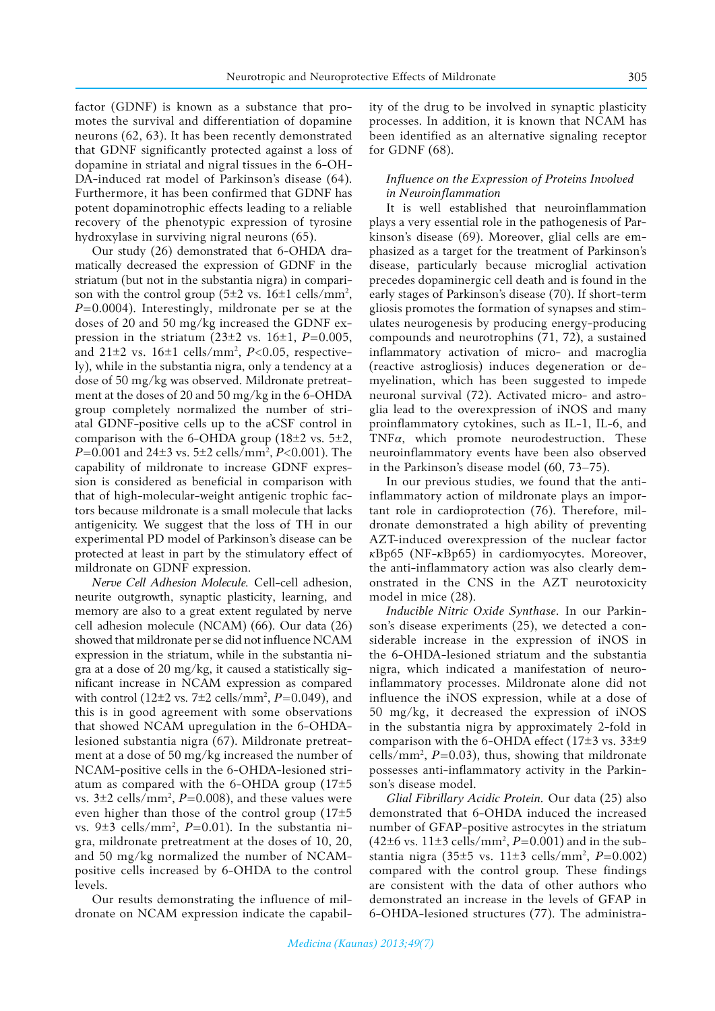factor (GDNF) is known as a substance that promotes the survival and differentiation of dopamine neurons (62, 63). It has been recently demonstrated that GDNF significantly protected against a loss of dopamine in striatal and nigral tissues in the 6-OH-DA-induced rat model of Parkinson's disease (64). Furthermore, it has been confirmed that GDNF has potent dopaminotrophic effects leading to a reliable recovery of the phenotypic expression of tyrosine hydroxylase in surviving nigral neurons (65).

Our study (26) demonstrated that 6-OHDA dramatically decreased the expression of GDNF in the striatum (but not in the substantia nigra) in comparison with the control group  $(5\pm 2 \text{ vs. } 16\pm 1 \text{ cells/mm}^2)$ , *P*=0.0004). Interestingly, mildronate per se at the doses of 20 and 50 mg/kg increased the GDNF expression in the striatum  $(23\pm 2 \text{ vs. } 16\pm 1, P=0.005,$ and 21±2 vs. 16±1 cells/mm2 , *P*<0.05, respectively), while in the substantia nigra, only a tendency at a dose of 50 mg/kg was observed. Mildronate pretreatment at the doses of 20 and 50 mg/kg in the 6-OHDA group completely normalized the number of striatal GDNF-positive cells up to the aCSF control in comparison with the 6-OHDA group (18±2 vs. 5±2, *P*=0.001 and 24±3 vs. 5±2 cells/mm2 , *P*<0.001). The capability of mildronate to increase GDNF expression is considered as beneficial in comparison with that of high-molecular-weight antigenic trophic factors because mildronate is a small molecule that lacks antigenicity. We suggest that the loss of TH in our experimental PD model of Parkinson's disease can be protected at least in part by the stimulatory effect of mildronate on GDNF expression.

*Nerve Cell Adhesion Molecule.* Cell-cell adhesion, neurite outgrowth, synaptic plasticity, learning, and memory are also to a great extent regulated by nerve cell adhesion molecule (NCAM) (66). Our data (26) showed that mildronate per se did not influence NCAM expression in the striatum, while in the substantia nigra at a dose of 20 mg/kg, it caused a statistically significant increase in NCAM expression as compared with control (12±2 vs. 7±2 cells/mm2 , *P*=0.049), and this is in good agreement with some observations that showed NCAM upregulation in the 6-OHDAlesioned substantia nigra (67). Mildronate pretreatment at a dose of 50 mg/kg increased the number of NCAM-positive cells in the 6-OHDA-lesioned striatum as compared with the 6-OHDA group  $(17\pm5)$ vs.  $3\pm 2$  cells/mm<sup>2</sup>,  $P=0.008$ ), and these values were even higher than those of the control group (17±5 vs. 9±3 cells/mm2 , *P*=0.01). In the substantia nigra, mildronate pretreatment at the doses of 10, 20, and 50 mg/kg normalized the number of NCAMpositive cells increased by 6-OHDA to the control levels.

Our results demonstrating the influence of mildronate on NCAM expression indicate the capability of the drug to be involved in synaptic plasticity processes. In addition, it is known that NCAM has been identified as an alternative signaling receptor for GDNF (68).

## *Influence on the Expression of Proteins Involved in Neuroinflammation*

It is well established that neuroinflammation plays a very essential role in the pathogenesis of Parkinson's disease (69). Moreover, glial cells are emphasized as a target for the treatment of Parkinson's disease, particularly because microglial activation precedes dopaminergic cell death and is found in the early stages of Parkinson's disease (70). If short-term gliosis promotes the formation of synapses and stimulates neurogenesis by producing energy-producing compounds and neurotrophins (71, 72), a sustained inflammatory activation of micro- and macroglia (reactive astrogliosis) induces degeneration or demyelination, which has been suggested to impede neuronal survival (72). Activated micro- and astroglia lead to the overexpression of iNOS and many proinflammatory cytokines, such as IL-1, IL-6, and TNF*α*, which promote neurodestruction. These neuroinflammatory events have been also observed in the Parkinson's disease model (60, 73–75).

In our previous studies, we found that the antiinflammatory action of mildronate plays an important role in cardioprotection (76). Therefore, mildronate demonstrated a high ability of preventing AZT-induced overexpression of the nuclear factor *к*Bp65 (NF-*к*Bp65) in cardiomyocytes. Moreover, the anti-inflammatory action was also clearly demonstrated in the CNS in the AZT neurotoxicity model in mice (28).

*Inducible Nitric Oxide Synthase*. In our Parkinson's disease experiments (25), we detected a considerable increase in the expression of iNOS in the 6-OHDA-lesioned striatum and the substantia nigra, which indicated a manifestation of neuroinflammatory processes. Mildronate alone did not influence the iNOS expression, while at a dose of 50 mg/kg, it decreased the expression of iNOS in the substantia nigra by approximately 2-fold in comparison with the 6-OHDA effect (17±3 vs. 33±9 cells/mm<sup>2</sup>,  $P=0.03$ ), thus, showing that mildronate possesses anti-inflammatory activity in the Parkinson's disease model.

*Glial Fibrillary Acidic Protein.* Our data (25) also demonstrated that 6-OHDA induced the increased number of GFAP-positive astrocytes in the striatum  $(42\pm6 \text{ vs. } 11\pm3 \text{ cells/mm}^2, P=0.001)$  and in the substantia nigra (35±5 vs. 11±3 cells/mm2 , *P*=0.002) compared with the control group. These findings are consistent with the data of other authors who demonstrated an increase in the levels of GFAP in 6-OHDA-lesioned structures (77). The administra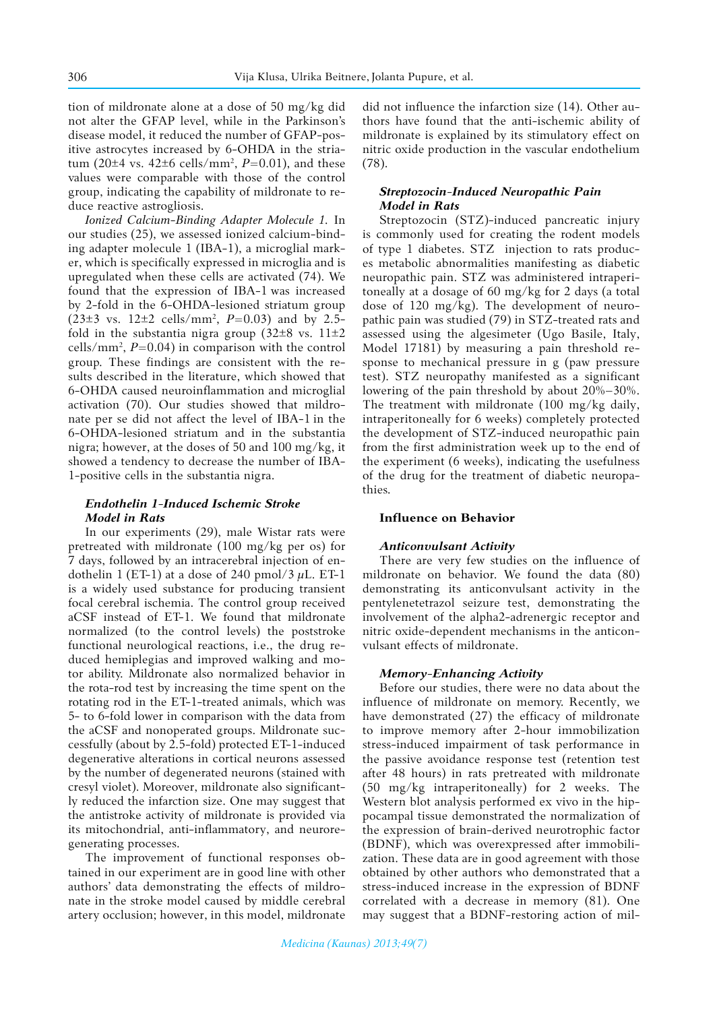tion of mildronate alone at a dose of 50 mg/kg did not alter the GFAP level, while in the Parkinson's disease model, it reduced the number of GFAP-positive astrocytes increased by 6-OHDA in the striatum (20±4 vs. 42±6 cells/mm2 , *P*=0.01), and these values were comparable with those of the control group, indicating the capability of mildronate to reduce reactive astrogliosis.

*Ionized Calcium-Binding Adapter Molecule 1.* In our studies (25), we assessed ionized calcium-binding adapter molecule 1 (IBA-1), a microglial marker, which is specifically expressed in microglia and is upregulated when these cells are activated (74). We found that the expression of IBA-1 was increased by 2-fold in the 6-OHDA-lesioned striatum group (23±3 vs. 12±2 cells/mm2 , *P*=0.03) and by 2.5 fold in the substantia nigra group (32 $\pm$ 8 vs. 11 $\pm$ 2  $\text{cells/mm}^2$ ,  $P = 0.04$ ) in comparison with the control group. These findings are consistent with the results described in the literature, which showed that 6-OHDA caused neuroinflammation and microglial activation (70). Our studies showed that mildronate per se did not affect the level of IBA-1 in the 6-OHDA-lesioned striatum and in the substantia nigra; however, at the doses of 50 and 100 mg/kg, it showed a tendency to decrease the number of IBA-1-positive cells in the substantia nigra.

## *Endothelin 1-Induced Ischemic Stroke Model in Rats*

In our experiments (29), male Wistar rats were pretreated with mildronate (100 mg/kg per os) for 7 days, followed by an intracerebral injection of endothelin 1 (ET-1) at a dose of 240 pmol/3  $\mu$ L. ET-1 is a widely used substance for producing transient focal cerebral ischemia. The control group received aCSF instead of ET-1. We found that mildronate normalized (to the control levels) the poststroke functional neurological reactions, i.e., the drug reduced hemiplegias and improved walking and motor ability. Mildronate also normalized behavior in the rota-rod test by increasing the time spent on the rotating rod in the ET-1-treated animals, which was 5- to 6-fold lower in comparison with the data from the aCSF and nonoperated groups. Mildronate successfully (about by 2.5-fold) protected ET-1-induced degenerative alterations in cortical neurons assessed by the number of degenerated neurons (stained with cresyl violet). Moreover, mildronate also significantly reduced the infarction size. One may suggest that the antistroke activity of mildronate is provided via its mitochondrial, anti-inflammatory, and neuroregenerating processes.

The improvement of functional responses obtained in our experiment are in good line with other authors' data demonstrating the effects of mildronate in the stroke model caused by middle cerebral artery occlusion; however, in this model, mildronate

did not influence the infarction size (14). Other authors have found that the anti-ischemic ability of mildronate is explained by its stimulatory effect on nitric oxide production in the vascular endothelium (78).

## *Streptozocin-Induced Neuropathic Pain Model in Rats*

Streptozocin (STZ)-induced pancreatic injury is commonly used for creating the rodent models of type 1 diabetes. STZ injection to rats produces metabolic abnormalities manifesting as diabetic neuropathic pain. STZ was administered intraperitoneally at a dosage of 60 mg/kg for 2 days (a total dose of 120 mg/kg). The development of neuropathic pain was studied (79) in STZ-treated rats and assessed using the algesimeter (Ugo Basile, Italy, Model 17181) by measuring a pain threshold response to mechanical pressure in g (paw pressure test). STZ neuropathy manifested as a significant lowering of the pain threshold by about 20%–30%. The treatment with mildronate (100 mg/kg daily, intraperitoneally for 6 weeks) completely protected the development of STZ-induced neuropathic pain from the first administration week up to the end of the experiment (6 weeks), indicating the usefulness of the drug for the treatment of diabetic neuropathies*.* 

#### **Influence on Behavior**

#### *Anticonvulsant Activity*

There are very few studies on the influence of mildronate on behavior. We found the data (80) demonstrating its anticonvulsant activity in the pentylenetetrazol seizure test, demonstrating the involvement of the alpha2-adrenergic receptor and nitric oxide-dependent mechanisms in the anticonvulsant effects of mildronate.

#### *Memory-Enhancing Activity*

Before our studies, there were no data about the influence of mildronate on memory. Recently, we have demonstrated (27) the efficacy of mildronate to improve memory after 2-hour immobilization stress-induced impairment of task performance in the passive avoidance response test (retention test after 48 hours) in rats pretreated with mildronate (50 mg/kg intraperitoneally) for 2 weeks. The Western blot analysis performed ex vivo in the hippocampal tissue demonstrated the normalization of the expression of brain-derived neurotrophic factor (BDNF), which was overexpressed after immobilization. These data are in good agreement with those obtained by other authors who demonstrated that a stress-induced increase in the expression of BDNF correlated with a decrease in memory (81). One may suggest that a BDNF-restoring action of mil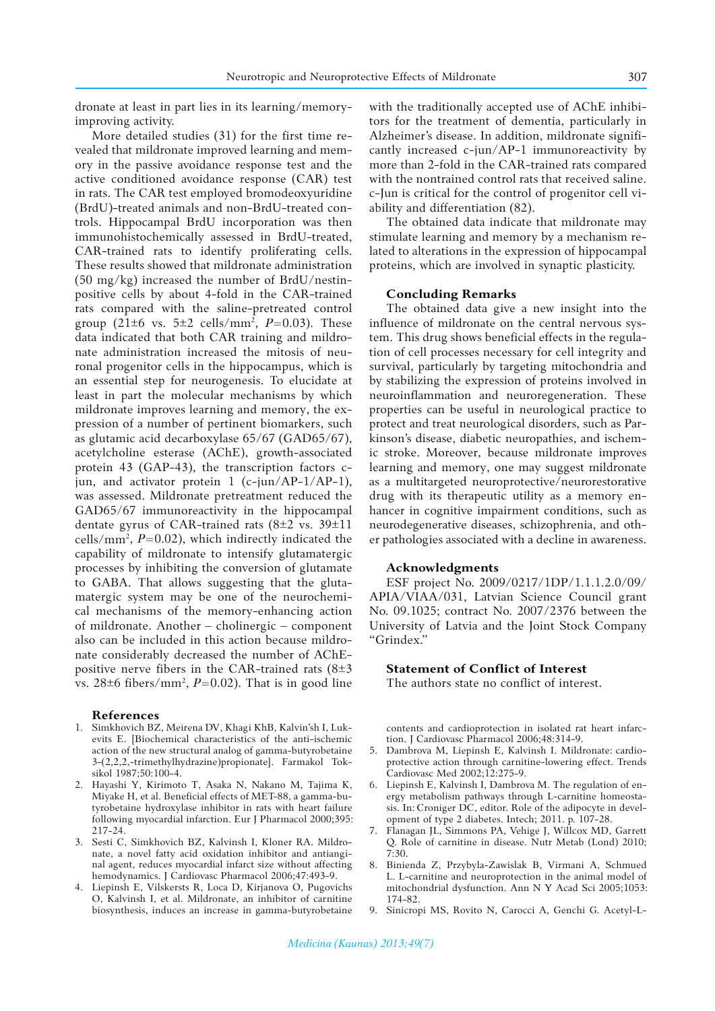dronate at least in part lies in its learning/memoryimproving activity.

More detailed studies (31) for the first time revealed that mildronate improved learning and memory in the passive avoidance response test and the active conditioned avoidance response (CAR) test in rats. The CAR test employed bromodeoxyuridine (BrdU)-treated animals and non-BrdU-treated controls. Hippocampal BrdU incorporation was then immunohistochemically assessed in BrdU-treated, CAR-trained rats to identify proliferating cells. These results showed that mildronate administration (50 mg/kg) increased the number of BrdU/nestinpositive cells by about 4-fold in the CAR-trained rats compared with the saline-pretreated control group  $(21\pm6$  vs.  $5\pm2$  cells/mm<sup>2</sup>,  $P=0.03$ ). These data indicated that both CAR training and mildronate administration increased the mitosis of neuronal progenitor cells in the hippocampus, which is an essential step for neurogenesis. To elucidate at least in part the molecular mechanisms by which mildronate improves learning and memory, the expression of a number of pertinent biomarkers, such as glutamic acid decarboxylase 65/67 (GAD65/67), acetylcholine esterase (AChE), growth-associated protein 43 (GAP-43), the transcription factors ciun, and activator protein  $1$  (c-jun/AP-1/AP-1). was assessed. Mildronate pretreatment reduced the GAD65/67 immunoreactivity in the hippocampal dentate gyrus of CAR-trained rats (8±2 vs. 39±11 cells/ $mm^2$ ,  $P=0.02$ ), which indirectly indicated the capability of mildronate to intensify glutamatergic processes by inhibiting the conversion of glutamate to GABA. That allows suggesting that the glutamatergic system may be one of the neurochemical mechanisms of the memory-enhancing action of mildronate. Another – cholinergic – component also can be included in this action because mildronate considerably decreased the number of AChEpositive nerve fibers in the CAR-trained rats  $(8±3)$ vs.  $28\pm6$  fibers/mm<sup>2</sup>,  $P=0.02$ ). That is in good line

#### **References**

- 1. Simkhovich BZ, Meirena DV, Khagi KhB, Kalvin'sh I, Lukevits E. [Biochemical characteristics of the anti-ischemic action of the new structural analog of gamma-butyrobetaine 3-(2,2,2,-trimethylhydrazine)propionate]. Farmakol Toksikol 1987;50:100-4.
- 2. Hayashi Y, Kirimoto T, Asaka N, Nakano M, Tajima K, Miyake H, et al. Beneficial effects of MET-88, a gamma-butyrobetaine hydroxylase inhibitor in rats with heart failure following myocardial infarction. Eur J Pharmacol 2000;395: 217-24.
- 3. Sesti C, Simkhovich BZ, Kalvinsh I, Kloner RA. Mildronate, a novel fatty acid oxidation inhibitor and antianginal agent, reduces myocardial infarct size without affecting hemodynamics. J Cardiovasc Pharmacol 2006;47:493-9.
- 4. Liepinsh E, Vilskersts R, Loca D, Kirjanova O, Pugovichs O, Kalvinsh I, et al. Mildronate, an inhibitor of carnitine biosynthesis, induces an increase in gamma-butyrobetaine

with the traditionally accepted use of AChE inhibitors for the treatment of dementia, particularly in Alzheimer's disease. In addition, mildronate significantly increased c-jun/AP-1 immunoreactivity by more than 2-fold in the CAR-trained rats compared with the nontrained control rats that received saline. c-Jun is critical for the control of progenitor cell viability and differentiation (82).

The obtained data indicate that mildronate may stimulate learning and memory by a mechanism related to alterations in the expression of hippocampal proteins, which are involved in synaptic plasticity.

## **Concluding Remarks**

The obtained data give a new insight into the influence of mildronate on the central nervous system. This drug shows beneficial effects in the regulation of cell processes necessary for cell integrity and survival, particularly by targeting mitochondria and by stabilizing the expression of proteins involved in neuroinflammation and neuroregeneration. These properties can be useful in neurological practice to protect and treat neurological disorders, such as Parkinson's disease, diabetic neuropathies, and ischemic stroke. Moreover, because mildronate improves learning and memory, one may suggest mildronate as a multitargeted neuroprotective/neurorestorative drug with its therapeutic utility as a memory enhancer in cognitive impairment conditions, such as neurodegenerative diseases, schizophrenia, and other pathologies associated with a decline in awareness.

#### **Acknowledgments**

ESF project No. 2009/0217/1DP/1.1.1.2.0/09/ APIA/VIAA/031, Latvian Science Council grant No. 09.1025; contract No. 2007/2376 between the University of Latvia and the Joint Stock Company "Grindex."

#### **Statement of Conflict of Interest**

The authors state no conflict of interest.

contents and cardioprotection in isolated rat heart infarction. J Cardiovasc Pharmacol 2006;48:314-9.

- 5. Dambrova M, Liepinsh E, Kalvinsh I. Mildronate: cardioprotective action through carnitine-lowering effect. Trends Cardiovasc Med 2002;12:275-9.
- 6. Liepinsh E, Kalvinsh I, Dambrova M. The regulation of energy metabolism pathways through L-carnitine homeostasis. In: Croniger DC, editor. Role of the adipocyte in development of type 2 diabetes. Intech; 2011. p. 107-28.
- 7. Flanagan JL, Simmons PA, Vehige J, Willcox MD, Garrett Q. Role of carnitine in disease. Nutr Metab (Lond) 2010;  $7:30.$
- 8. Binienda Z, Przybyla-Zawislak B, Virmani A, Schmued L. L-carnitine and neuroprotection in the animal model of mitochondrial dysfunction. Ann N Y Acad Sci 2005;1053: 174-82.
- 9. Sinicropi MS, Rovito N, Carocci A, Genchi G. Acetyl-L-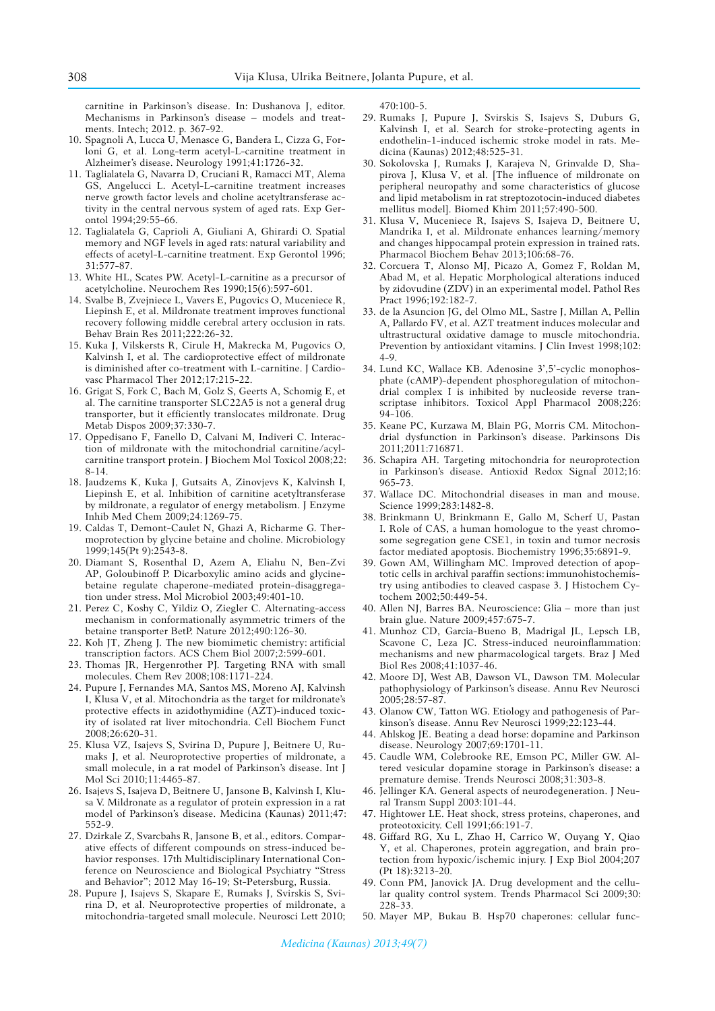carnitine in Parkinson's disease. In: Dushanova J, editor. Mechanisms in Parkinson's disease – models and treatments. Intech; 2012. p. 367-92.

- 10. Spagnoli A, Lucca U, Menasce G, Bandera L, Cizza G, Forloni G, et al. Long-term acetyl-L-carnitine treatment in Alzheimer's disease. Neurology 1991;41:1726-32.
- 11. Taglialatela G, Navarra D, Cruciani R, Ramacci MT, Alema GS, Angelucci L. Acetyl-L-carnitine treatment increases nerve growth factor levels and choline acetyltransferase activity in the central nervous system of aged rats. Exp Gerontol 1994;29:55-66.
- 12. Taglialatela G, Caprioli A, Giuliani A, Ghirardi O. Spatial memory and NGF levels in aged rats: natural variability and effects of acetyl-L-carnitine treatment. Exp Gerontol 1996; 31:577-87.
- 13. White HL, Scates PW. Acetyl-L-carnitine as a precursor of acetylcholine. Neurochem Res 1990;15(6):597-601.
- 14. Svalbe B, Zvejniece L, Vavers E, Pugovics O, Muceniece R, Liepinsh E, et al. Mildronate treatment improves functional recovery following middle cerebral artery occlusion in rats. Behav Brain Res 2011;222:26-32.
- 15. Kuka J, Vilskersts R, Cirule H, Makrecka M, Pugovics O, Kalvinsh I, et al. The cardioprotective effect of mildronate is diminished after co-treatment with L-carnitine. J Cardiovasc Pharmacol Ther 2012;17:215-22.
- 16. Grigat S, Fork C, Bach M, Golz S, Geerts A, Schomig E, et al. The carnitine transporter SLC22A5 is not a general drug transporter, but it efficiently translocates mildronate. Drug Metab Dispos 2009;37:330-7.
- 17. Oppedisano F, Fanello D, Calvani M, Indiveri C. Interaction of mildronate with the mitochondrial carnitine/acylcarnitine transport protein. J Biochem Mol Toxicol 2008;22: 8-14.
- 18. Jaudzems K, Kuka J, Gutsaits A, Zinovjevs K, Kalvinsh I, Liepinsh E, et al. Inhibition of carnitine acetyltransferase by mildronate, a regulator of energy metabolism. J Enzyme Inhib Med Chem 2009;24:1269-75.
- 19. Caldas T, Demont-Caulet N, Ghazi A, Richarme G. Thermoprotection by glycine betaine and choline. Microbiology 1999;145(Pt 9):2543-8.
- 20. Diamant S, Rosenthal D, Azem A, Eliahu N, Ben-Zvi AP, Goloubinoff P. Dicarboxylic amino acids and glycinebetaine regulate chaperone-mediated protein-disaggregation under stress. Mol Microbiol 2003;49:401-10.
- 21. Perez C, Koshy C, Yildiz O, Ziegler C. Alternating-access mechanism in conformationally asymmetric trimers of the betaine transporter BetP. Nature 2012;490:126-30.
- 22. Koh JT, Zheng J. The new biomimetic chemistry: artificial transcription factors. ACS Chem Biol 2007;2:599-601.
- 23. Thomas JR, Hergenrother PJ. Targeting RNA with small molecules. Chem Rev 2008;108:1171-224.
- 24. Pupure J, Fernandes MA, Santos MS, Moreno AJ, Kalvinsh I, Klusa V, et al. Mitochondria as the target for mildronate's protective effects in azidothymidine (AZT)-induced toxicity of isolated rat liver mitochondria. Cell Biochem Funct 2008;26:620-31.
- 25. Klusa VZ, Isajevs S, Svirina D, Pupure J, Beitnere U, Rumaks J, et al. Neuroprotective properties of mildronate, a small molecule, in a rat model of Parkinson's disease. Int J Mol Sci 2010;11:4465-87.
- 26. Isajevs S, Isajeva D, Beitnere U, Jansone B, Kalvinsh I, Klusa V. Mildronate as a regulator of protein expression in a rat model of Parkinson's disease. Medicina (Kaunas) 2011;47: 552-9.
- 27. Dzirkale Z, Svarcbahs R, Jansone B, et al., editors. Comparative effects of different compounds on stress-induced behavior responses. 17th Multidisciplinary International Conference on Neuroscience and Biological Psychiatry "Stress and Behavior"; 2012 May 16-19; St-Petersburg, Russia.
- 28. Pupure J, Isajevs S, Skapare E, Rumaks J, Svirskis S, Svirina D, et al. Neuroprotective properties of mildronate, a mitochondria-targeted small molecule. Neurosci Lett 2010;

470:100-5.

- 29. Rumaks J, Pupure J, Svirskis S, Isajevs S, Duburs G, Kalvinsh I, et al. Search for stroke-protecting agents in endothelin-1-induced ischemic stroke model in rats. Medicina (Kaunas) 2012;48:525-31.
- 30. Sokolovska J, Rumaks J, Karajeva N, Grinvalde D, Shapirova J, Klusa V, et al. [The influence of mildronate on peripheral neuropathy and some characteristics of glucose and lipid metabolism in rat streptozotocin-induced diabetes mellitus model]. Biomed Khim 2011;57:490-500.
- 31. Klusa V, Muceniece R, Isajevs S, Isajeva D, Beitnere U, Mandrika I, et al. Mildronate enhances learning/memory and changes hippocampal protein expression in trained rats. Pharmacol Biochem Behav 2013;106:68-76.
- 32. Corcuera T, Alonso MJ, Picazo A, Gomez F, Roldan M, Abad M, et al. Hepatic Morphological alterations induced by zidovudine (ZDV) in an experimental model. Pathol Res Pract 1996;192:182-7.
- 33. de la Asuncion JG, del Olmo ML, Sastre J, Millan A, Pellin A, Pallardo FV, et al. AZT treatment induces molecular and ultrastructural oxidative damage to muscle mitochondria. Prevention by antioxidant vitamins. J Clin Invest 1998;102: 4-9.
- 34. Lund KC, Wallace KB. Adenosine 3',5'-cyclic monophosphate (cAMP)-dependent phosphoregulation of mitochondrial complex I is inhibited by nucleoside reverse transcriptase inhibitors. Toxicol Appl Pharmacol 2008;226: 94-106.
- 35. Keane PC, Kurzawa M, Blain PG, Morris CM. Mitochondrial dysfunction in Parkinson's disease. Parkinsons Dis 2011;2011:716871.
- 36. Schapira AH. Targeting mitochondria for neuroprotection in Parkinson's disease. Antioxid Redox Signal 2012;16: 965-73.
- 37. Wallace DC. Mitochondrial diseases in man and mouse. Science 1999;283:1482-8.
- 38. Brinkmann U, Brinkmann E, Gallo M, Scherf U, Pastan I. Role of CAS, a human homologue to the yeast chromosome segregation gene CSE1, in toxin and tumor necrosis factor mediated apoptosis. Biochemistry 1996;35:6891-9.
- 39. Gown AM, Willingham MC. Improved detection of apoptotic cells in archival paraffin sections: immunohistochemistry using antibodies to cleaved caspase 3. J Histochem Cytochem 2002;50:449-54.
- 40. Allen NJ, Barres BA. Neuroscience: Glia more than just brain glue. Nature 2009;457:675-7.
- 41. Munhoz CD, Garcia-Bueno B, Madrigal JL, Lepsch LB, Scavone C, Leza JC. Stress-induced neuroinflammation: mechanisms and new pharmacological targets. Braz J Med Biol Res 2008;41:1037-46.
- 42. Moore DJ, West AB, Dawson VL, Dawson TM. Molecular pathophysiology of Parkinson's disease. Annu Rev Neurosci 2005;28:57-87.
- 43. Olanow CW, Tatton WG. Etiology and pathogenesis of Parkinson's disease. Annu Rev Neurosci 1999;22:123-44.
- 44. Ahlskog JE. Beating a dead horse: dopamine and Parkinson disease. Neurology 2007;69:1701-11.
- 45. Caudle WM, Colebrooke RE, Emson PC, Miller GW. Altered vesicular dopamine storage in Parkinson's disease: a premature demise. Trends Neurosci 2008;31:303-8.
- 46. Jellinger KA. General aspects of neurodegeneration. J Neural Transm Suppl 2003:101-44.
- 47. Hightower LE. Heat shock, stress proteins, chaperones, and proteotoxicity. Cell 1991;66:191-7.
- 48. Giffard RG, Xu L, Zhao H, Carrico W, Ouyang Y, Qiao Y, et al. Chaperones, protein aggregation, and brain protection from hypoxic/ischemic injury. J Exp Biol 2004;207 (Pt 18):3213-20.
- 49. Conn PM, Janovick JA. Drug development and the cellular quality control system. Trends Pharmacol Sci 2009;30: 228-33.
- 50. Mayer MP, Bukau B. Hsp70 chaperones: cellular func-